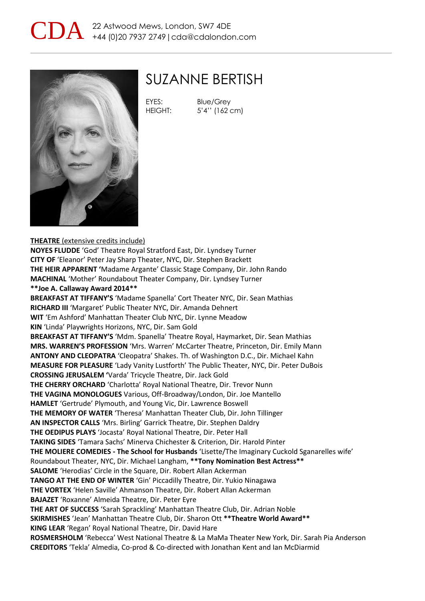



### SUZANNE BERTISH

EYES: Blue/Grey

HEIGHT: 5'4'' (162 cm)

### **THEATRE** (extensive credits include)

**NOYES FLUDDE** 'God' Theatre Royal Stratford East, Dir. Lyndsey Turner **CITY OF** 'Eleanor' Peter Jay Sharp Theater, NYC, Dir. Stephen Brackett **THE HEIR APPARENT '**Madame Argante' Classic Stage Company, Dir. John Rando **MACHINAL** 'Mother' Roundabout Theater Company, Dir. Lyndsey Turner **\*\*Joe A. Callaway Award 2014\*\* BREAKFAST AT TIFFANY'S** 'Madame Spanella' Cort Theater NYC, Dir. Sean Mathias **RICHARD III** 'Margaret' Public Theater NYC, Dir. Amanda Dehnert **WIT** 'Em Ashford' Manhattan Theater Club NYC, Dir. Lynne Meadow **KIN** 'Linda' Playwrights Horizons, NYC, Dir. Sam Gold **BREAKFAST AT TIFFANY'S** 'Mdm. Spanella' Theatre Royal, Haymarket, Dir. Sean Mathias **MRS. WARREN'S PROFESSION** 'Mrs. Warren' McCarter Theatre, Princeton, Dir. Emily Mann **ANTONY AND CLEOPATRA** 'Cleopatra' Shakes. Th. of Washington D.C., Dir. Michael Kahn **MEASURE FOR PLEASURE** 'Lady Vanity Lustforth' The Public Theater, NYC, Dir. Peter DuBois **CROSSING JERUSALEM '**Varda' Tricycle Theatre, Dir. Jack Gold **THE CHERRY ORCHARD** 'Charlotta' Royal National Theatre, Dir. Trevor Nunn **THE VAGINA MONOLOGUES** Various, Off-Broadway/London, Dir. Joe Mantello **HAMLET** 'Gertrude' Plymouth, and Young Vic, Dir. Lawrence Boswell **THE MEMORY OF WATER** 'Theresa' Manhattan Theater Club, Dir. John Tillinger **AN INSPECTOR CALLS** 'Mrs. Birling' Garrick Theatre, Dir. Stephen Daldry **THE OEDIPUS PLAYS** 'Jocasta' Royal National Theatre, Dir. Peter Hall **TAKING SIDES** 'Tamara Sachs' Minerva Chichester & Criterion, Dir. Harold Pinter **THE MOLIERE COMEDIES - The School for Husbands** 'Lisette/The Imaginary Cuckold Sganarelles wife' Roundabout Theater, NYC, Dir. Michael Langham, **\*\*Tony Nomination Best Actress\*\* SALOME** 'Herodias' Circle in the Square, Dir. Robert Allan Ackerman **TANGO AT THE END OF WINTER** 'Gin' Piccadilly Theatre, Dir. Yukio Ninagawa **THE VORTEX** 'Helen Saville' Ahmanson Theatre, Dir. Robert Allan Ackerman **BAJAZET** 'Roxanne' Almeida Theatre, Dir. Peter Eyre **THE ART OF SUCCESS** 'Sarah Sprackling' Manhattan Theatre Club, Dir. Adrian Noble **SKIRMISHES** 'Jean' Manhattan Theatre Club, Dir. Sharon Ott **\*\*Theatre World Award\*\* KING LEAR** 'Regan' Royal National Theatre, Dir. David Hare **ROSMERSHOLM** 'Rebecca' West National Theatre & La MaMa Theater New York, Dir. Sarah Pia Anderson **CREDITORS** 'Tekla' Almedia, Co-prod & Co-directed with Jonathan Kent and Ian McDiarmid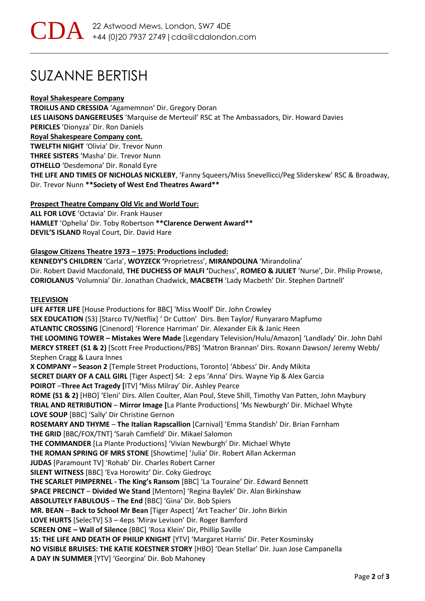## SUZANNE BERTISH

#### **Royal Shakespeare Company**

**TROILUS AND CRESSIDA** 'Agamemnon' Dir. Gregory Doran **LES LIAISONS DANGEREUSES** 'Marquise de Merteuil' RSC at The Ambassadors, Dir. Howard Davies **PERICLES** 'Dionyza' Dir. Ron Daniels **Royal Shakespeare Company cont. TWELFTH NIGHT** 'Olivia' Dir. Trevor Nunn **THREE SISTERS** 'Masha' Dir. Trevor Nunn **OTHELLO** 'Desdemona' Dir. Ronald Eyre **THE LIFE AND TIMES OF NICHOLAS NICKLEBY**, 'Fanny Squeers/Miss Snevellicci/Peg Sliderskew' RSC & Broadway, Dir. Trevor Nunn **\*\*Society of West End Theatres Award\*\***

#### **Prospect Theatre Company Old Vic and World Tour:**

**ALL FOR LOVE** 'Octavia' Dir. Frank Hauser **HAMLET** 'Ophelia' Dir. Toby Robertson **\*\*Clarence Derwent Award\*\* DEVIL'S ISLAND** Royal Court, Dir. David Hare

#### **Glasgow Citizens Theatre 1973 – 1975: Productions included:**

**KENNEDY'S CHILDREN** 'Carla', **WOYZECK '**Proprietress', **MIRANDOLINA** 'Mirandolina' Dir. Robert David Macdonald, **THE DUCHESS OF MALFI '**Duchess', **ROMEO & JULIET** 'Nurse', Dir. Philip Prowse, **CORIOLANUS** 'Volumnia' Dir. Jonathan Chadwick, **MACBETH** 'Lady Macbeth' Dir. Stephen Dartnell'

#### **TELEVISION**

**LIFE AFTER LIFE** [House Productions for BBC] 'Miss Woolf' Dir. John Crowley **SEX EDUCATION** (S3) [Starco TV/Netflix] ' Dr Cutton' Dirs. Ben Taylor/ Runyararo Mapfumo **ATLANTIC CROSSING** [Cinenord] 'Florence Harriman' Dir. Alexander Eik & Janic Heen **THE LOOMING TOWER – Mistakes Were Made** [Legendary Television/Hulu/Amazon] 'Landlady' Dir. John Dahl **MERCY STREET (S1 & 2)** [Scott Free Productions/PBS] 'Matron Brannan' Dirs. Roxann Dawson/ Jeremy Webb/ Stephen Cragg & Laura Innes **X COMPANY – Season 2** [Temple Street Productions, Toronto] 'Abbess' Dir. Andy Mikita **SECRET DIARY OF A CALL GIRL** [Tiger Aspect] S4: 2 eps 'Anna' Dirs. Wayne Yip & Alex Garcia **POIROT** –**Three Act Tragedy [**ITV] **'**Miss Milray' Dir. Ashley Pearce **ROME (S1 & 2)** [HBO] 'Eleni' Dirs. Allen Coulter, Alan Poul, Steve Shill, Timothy Van Patten, John Maybury **TRIAL AND RETRIBUTION** – **Mirror Image [**La Plante Productions] 'Ms Newburgh' Dir. Michael Whyte **LOVE SOUP** [BBC] 'Sally' Dir Christine Gernon **ROSEMARY AND THYME** – **The Italian Rapscallion** [Carnival] 'Emma Standish' Dir. Brian Farnham **THE GRID** [BBC/FOX/TNT] 'Sarah Camfield' Dir. Mikael Salomon **THE COMMANDER** [La Plante Productions] 'Vivian Newburgh' Dir. Michael Whyte **THE ROMAN SPRING OF MRS STONE** [Showtime] 'Julia' Dir. Robert Allan Ackerman **JUDAS** [Paramount TV] 'Rohab' Dir. Charles Robert Carner **SILENT WITNESS** [BBC] 'Eva Horowitz' Dir. Coky Giedroyc **THE SCARLET PIMPERNEL - The King's Ransom** [BBC] 'La Touraine' Dir. Edward Bennett **SPACE PRECINCT** – **Divided We Stand** [Mentorn] 'Regina Baylek' Dir. Alan Birkinshaw **ABSOLUTELY FABULOUS** – **The End** [BBC] 'Gina' Dir. Bob Spiers **MR. BEAN** – **Back to School Mr Bean** [Tiger Aspect] 'Art Teacher' Dir. John Birkin **LOVE HURTS** [SelecTV] S3 – 4eps 'Mirav Levison' Dir. Roger Bamford **SCREEN ONE – Wall of Silence** [BBC] 'Rosa Klein' Dir, Phillip Saville **15: THE LIFE AND DEATH OF PHILIP KNIGHT** [YTV] 'Margaret Harris' Dir. Peter Kosminsky **NO VISIBLE BRUISES: THE KATIE KOESTNER STORY** [HBO] 'Dean Stellar' Dir. Juan Jose Campanella **A DAY IN SUMMER** [YTV] 'Georgina' Dir. Bob Mahoney